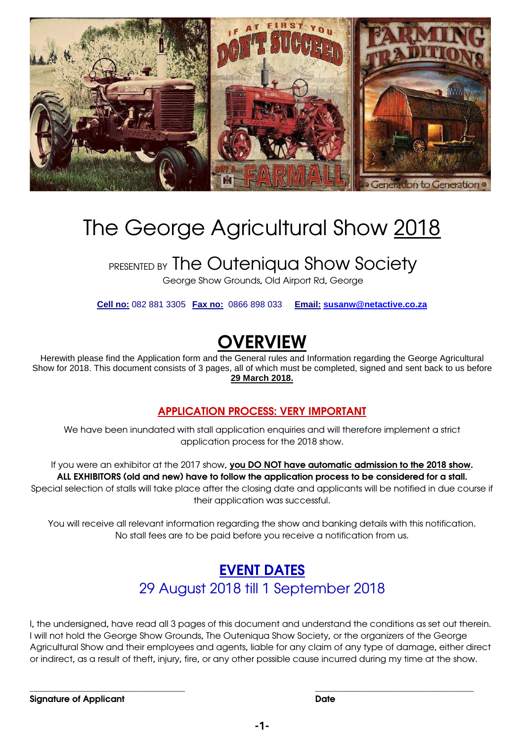

## The George Agricultural Show 2018

## **PRESENTED BY The Outeniqua Show Society**

George Show Grounds, Old Airport Rd, George

**Cell no:** 082 881 3305 **Fax no:** 0866 898 033 **Email: susanw@netactive.co.za**

## **OVERVIEW**

Herewith please find the Application form and the General rules and Information regarding the George Agricultural Show for 2018. This document consists of 3 pages, all of which must be completed, signed and sent back to us before **29 March 2018.**

**APPLICATION PROCESS: VERY IMPORTANT**

We have been inundated with stall application enquiries and will therefore implement a strict application process for the 2018 show.

If you were an exhibitor at the 2017 show, **you DO NOT have automatic admission to the 2018 show. ALL EXHIBITORS (old and new) have to follow the application process to be considered for a stall.** Special selection of stalls will take place after the closing date and applicants will be notified in due course if their application was successful.

You will receive all relevant information regarding the show and banking details with this notification. No stall fees are to be paid before you receive a notification from us.

### **EVENT DATES** 29 August 2018 till 1 September 2018

I, the undersigned, have read all 3 pages of this document and understand the conditions as set out therein. I will not hold the George Show Grounds, The Outeniqua Show Society, or the organizers of the George Agricultural Show and their employees and agents, liable for any claim of any type of damage, either direct or indirect, as a result of theft, injury, fire, or any other possible cause incurred during my time at the show.

\_\_\_\_\_\_\_\_\_\_\_\_\_\_\_\_\_\_\_\_\_\_\_\_\_\_\_\_\_\_\_\_\_\_\_\_\_\_\_\_\_\_\_\_ \_\_\_\_\_\_\_\_\_\_\_\_\_\_\_\_\_\_\_\_\_\_\_\_\_\_\_\_\_\_\_\_\_\_\_\_\_\_\_\_\_\_\_\_\_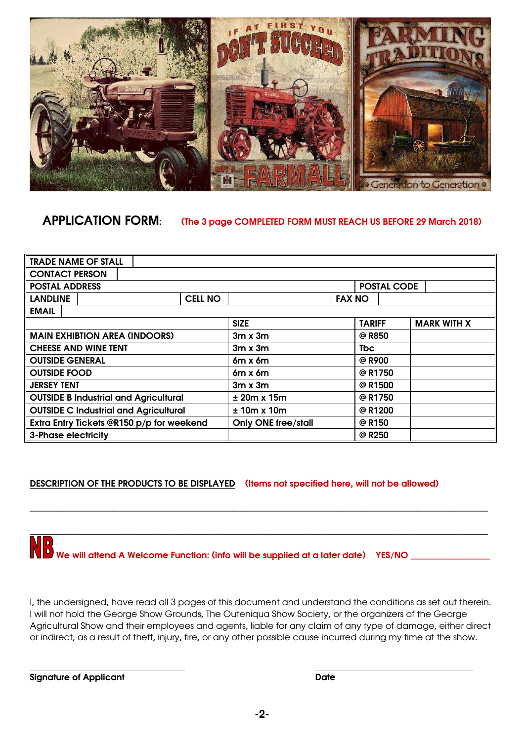

**APPLICATION FORM: (The 3 page COMPLETED FORM MUST REACH US BEFORE 29 March 2018)** 

| <b>TRADE NAME OF STALL</b>                   |                |                            |                    |                    |
|----------------------------------------------|----------------|----------------------------|--------------------|--------------------|
| <b>CONTACT PERSON</b>                        |                |                            |                    |                    |
| <b>POSTAL ADDRESS</b>                        |                |                            | <b>POSTAL CODE</b> |                    |
| <b>LANDLINE</b>                              | <b>CELL NO</b> |                            | <b>FAX NO</b>      |                    |
| <b>EMAIL</b>                                 |                |                            |                    |                    |
|                                              |                | <b>SIZE</b>                | <b>TARIFF</b>      | <b>MARK WITH X</b> |
| <b>MAIN EXHIBTION AREA (INDOORS)</b>         |                | $3m \times 3m$             | @ R850             |                    |
| <b>CHEESE AND WINE TENT</b>                  |                | $3m \times 3m$             | <b>T</b> bc        |                    |
| <b>OUTSIDE GENERAL</b>                       |                | $6m \times 6m$             | @ R900             |                    |
| <b>OUTSIDE FOOD</b>                          |                | $6m \times 6m$             | @ R1750            |                    |
| <b>JERSEY TENT</b>                           |                | $3m \times 3m$             | @ R1500            |                    |
| <b>OUTSIDE B Industrial and Agricultural</b> |                | $± 20m \times 15m$         | @ R1750            |                    |
| <b>OUTSIDE C Industrial and Agricultural</b> |                | $± 10m \times 10m$         | @ R1200            |                    |
| Extra Entry Tickets @R150 p/p for weekend    |                | <b>Only ONE free/stall</b> | @ R150             |                    |
| <b>3-Phase electricity</b>                   |                |                            | @ R250             |                    |

**DESCRIPTION OF THE PRODUCTS TO BE DISPLAYED (Items not specified here, will not be allowed)**

# **WE**<br>We will attend A Welcome Function: (info will be supplied at a later date) YES/NO \_\_\_\_

I, the undersigned, have read all 3 pages of this document and understand the conditions as set out therein. I will not hold the George Show Grounds, The Outeniqua Show Society, or the organizers of the George Agricultural Show and their employees and agents, liable for any claim of any type of damage, either direct or indirect, as a result of theft, injury, fire, or any other possible cause incurred during my time at the show.

\_\_\_\_\_\_\_\_\_\_\_\_\_\_\_\_\_\_\_\_\_\_\_\_\_\_\_\_\_\_\_\_\_\_\_\_\_\_\_\_\_\_\_\_ \_\_\_\_\_\_\_\_\_\_\_\_\_\_\_\_\_\_\_\_\_\_\_\_\_\_\_\_\_\_\_\_\_\_\_\_\_\_\_\_\_\_\_\_\_

**\_\_\_\_\_\_\_\_\_\_\_\_\_\_\_\_\_\_\_\_\_\_\_\_\_\_\_\_\_\_\_\_\_\_\_\_\_\_\_\_\_\_\_\_\_\_\_\_\_\_\_\_\_\_\_\_\_\_\_\_\_\_\_\_\_\_\_\_\_\_\_\_\_\_\_\_\_\_\_\_\_\_\_\_\_\_\_\_\_\_\_\_\_\_\_\_\_\_\_\_\_\_\_\_** 

**\_\_\_\_\_\_\_\_\_\_\_\_\_\_\_\_\_\_\_\_\_\_\_\_\_\_\_\_\_\_\_\_\_\_\_\_\_\_\_\_\_\_\_\_\_\_\_\_\_\_\_\_\_\_\_\_\_\_\_\_\_\_\_\_\_\_\_\_\_\_\_\_\_\_\_\_\_\_\_\_\_\_\_\_\_\_\_\_\_\_\_\_\_\_\_\_\_\_\_\_\_\_\_\_** 

**Signature of Applicant Date**